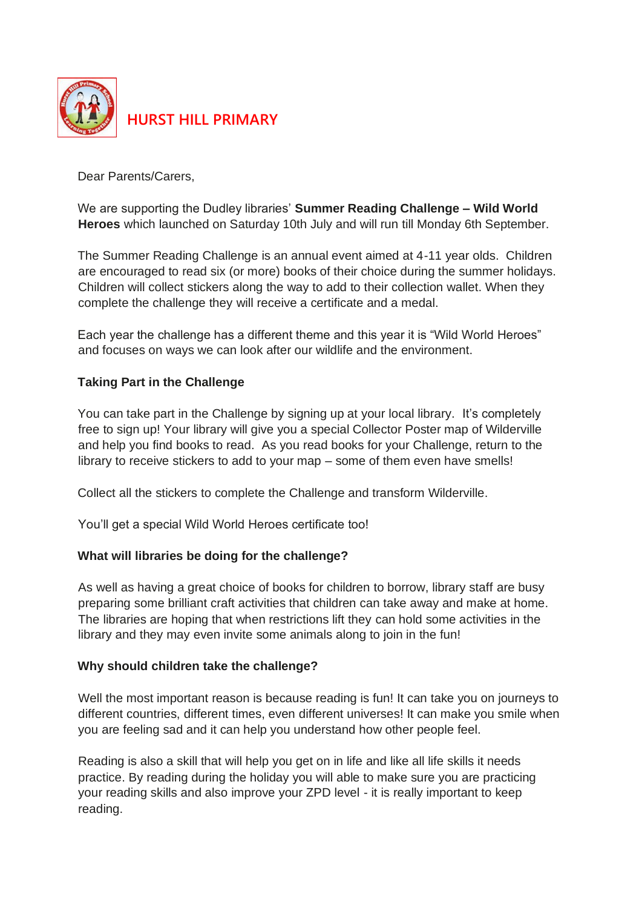

Dear Parents/Carers,

We are supporting the Dudley libraries' **Summer Reading Challenge – Wild World Heroes** which launched on Saturday 10th July and will run till Monday 6th September.

The Summer Reading Challenge is an annual event aimed at 4-11 year olds. Children are encouraged to read six (or more) books of their choice during the summer holidays. Children will collect stickers along the way to add to their collection wallet. When they complete the challenge they will receive a certificate and a medal.

Each year the challenge has a different theme and this year it is "Wild World Heroes" and focuses on ways we can look after our wildlife and the environment.

## **Taking Part in the Challenge**

You can take part in the Challenge by signing up at your local library. It's completely free to sign up! Your library will give you a special Collector Poster map of Wilderville and help you find books to read. As you read books for your Challenge, return to the library to receive stickers to add to your map – some of them even have smells!

Collect all the stickers to complete the Challenge and transform Wilderville.

You'll get a special Wild World Heroes certificate too!

## **What will libraries be doing for the challenge?**

As well as having a great choice of books for children to borrow, library staff are busy preparing some brilliant craft activities that children can take away and make at home. The libraries are hoping that when restrictions lift they can hold some activities in the library and they may even invite some animals along to join in the fun!

## **Why should children take the challenge?**

Well the most important reason is because reading is fun! It can take you on journeys to different countries, different times, even different universes! It can make you smile when you are feeling sad and it can help you understand how other people feel.

Reading is also a skill that will help you get on in life and like all life skills it needs practice. By reading during the holiday you will able to make sure you are practicing your reading skills and also improve your ZPD level - it is really important to keep reading.